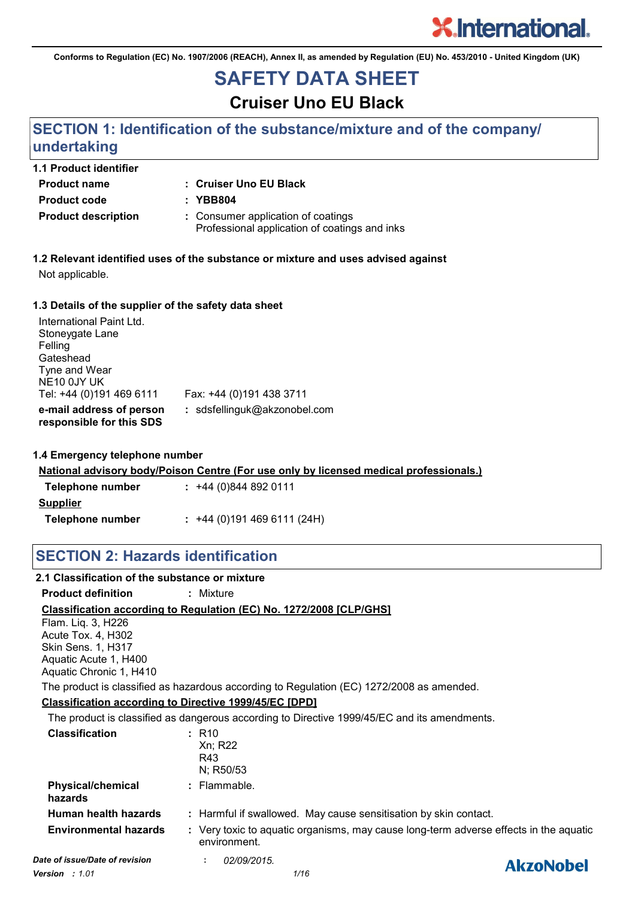

**Conforms to Regulation (EC) No. 1907/2006 (REACH), Annex II, as amended by Regulation (EU) No. 453/2010 - United Kingdom (UK)**

## **SAFETY DATA SHEET**

**Cruiser Uno EU Black**

### **SECTION 1: Identification of the substance/mixture and of the company/ undertaking**

| <b>1.1 Product identifier</b> |                                                                                     |
|-------------------------------|-------------------------------------------------------------------------------------|
| <b>Product name</b>           | : Cruiser Uno EU Black                                                              |
| <b>Product code</b>           | : YBB804                                                                            |
| <b>Product description</b>    | : Consumer application of coatings<br>Professional application of coatings and inks |

**1.2 Relevant identified uses of the substance or mixture and uses advised against** Not applicable.

#### **1.3 Details of the supplier of the safety data sheet**

| International Paint Ltd.<br>Stoneygate Lane<br>Felling<br>Gateshead<br>Tyne and Wear<br>NE10 0JY UK<br>Tel: +44 (0)191 469 6111 | Fax: +44 (0)191 438 3711     |
|---------------------------------------------------------------------------------------------------------------------------------|------------------------------|
| e-mail address of person<br>responsible for this SDS                                                                            | : sdsfellinguk@akzonobel.com |

#### **1.4 Emergency telephone number**

**National advisory body/Poison Centre (For use only by licensed medical professionals.)**

| Telephone number | $: +44(0)8448920111$      |
|------------------|---------------------------|
| Supplier         |                           |
| Telephone number | $: +44(0)1914696111(24H)$ |

### **SECTION 2: Hazards identification**

| 2.1 Classification of the substance or mixture |                                                                                                       |                  |
|------------------------------------------------|-------------------------------------------------------------------------------------------------------|------------------|
| <b>Product definition</b>                      | : Mixture                                                                                             |                  |
|                                                | Classification according to Regulation (EC) No. 1272/2008 [CLP/GHS]                                   |                  |
| Flam. Liq. 3, H226                             |                                                                                                       |                  |
| Acute Tox. 4, H302                             |                                                                                                       |                  |
| <b>Skin Sens. 1, H317</b>                      |                                                                                                       |                  |
| Aquatic Acute 1, H400                          |                                                                                                       |                  |
| Aquatic Chronic 1, H410                        |                                                                                                       |                  |
|                                                | The product is classified as hazardous according to Regulation (EC) 1272/2008 as amended.             |                  |
|                                                | <b>Classification according to Directive 1999/45/EC [DPD]</b>                                         |                  |
|                                                | The product is classified as dangerous according to Directive 1999/45/EC and its amendments.          |                  |
| <b>Classification</b>                          | $:$ R <sub>10</sub>                                                                                   |                  |
|                                                | Xn; R22                                                                                               |                  |
|                                                | R43                                                                                                   |                  |
|                                                | N; R50/53                                                                                             |                  |
| <b>Physical/chemical</b><br>hazards            | : Flammable.                                                                                          |                  |
| Human health hazards                           | : Harmful if swallowed. May cause sensitisation by skin contact.                                      |                  |
| <b>Environmental hazards</b>                   | : Very toxic to aquatic organisms, may cause long-term adverse effects in the aquatic<br>environment. |                  |
| Date of issue/Date of revision                 | 02/09/2015.                                                                                           | <b>AkzoNobel</b> |
|                                                |                                                                                                       |                  |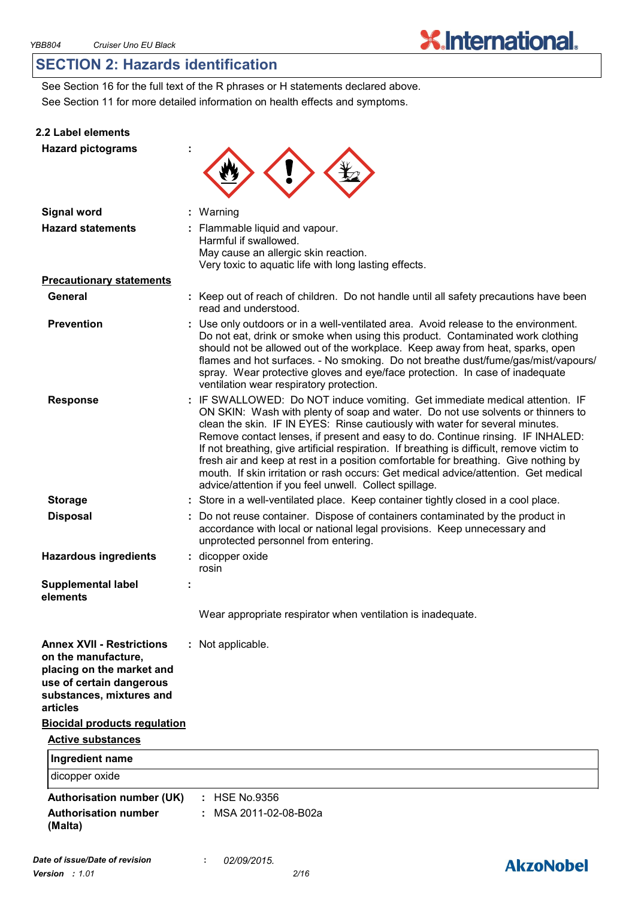**AkzoNobel** 

### **SECTION 2: Hazards identification**

See Section 11 for more detailed information on health effects and symptoms. See Section 16 for the full text of the R phrases or H statements declared above.

#### **2.2 Label elements**

| <b>Hazard pictograms</b>                                                                                                                                 |                                                                                                                                                                                                                                                                                                                                                                                                                                                                                                                                                                                                                                                                         |
|----------------------------------------------------------------------------------------------------------------------------------------------------------|-------------------------------------------------------------------------------------------------------------------------------------------------------------------------------------------------------------------------------------------------------------------------------------------------------------------------------------------------------------------------------------------------------------------------------------------------------------------------------------------------------------------------------------------------------------------------------------------------------------------------------------------------------------------------|
| <b>Signal word</b>                                                                                                                                       | : Warning                                                                                                                                                                                                                                                                                                                                                                                                                                                                                                                                                                                                                                                               |
| <b>Hazard statements</b>                                                                                                                                 | : Flammable liquid and vapour.<br>Harmful if swallowed.<br>May cause an allergic skin reaction.<br>Very toxic to aquatic life with long lasting effects.                                                                                                                                                                                                                                                                                                                                                                                                                                                                                                                |
| <b>Precautionary statements</b>                                                                                                                          |                                                                                                                                                                                                                                                                                                                                                                                                                                                                                                                                                                                                                                                                         |
| General                                                                                                                                                  | : Keep out of reach of children. Do not handle until all safety precautions have been<br>read and understood.                                                                                                                                                                                                                                                                                                                                                                                                                                                                                                                                                           |
| <b>Prevention</b>                                                                                                                                        | : Use only outdoors or in a well-ventilated area. Avoid release to the environment.<br>Do not eat, drink or smoke when using this product. Contaminated work clothing<br>should not be allowed out of the workplace. Keep away from heat, sparks, open<br>flames and hot surfaces. - No smoking. Do not breathe dust/fume/gas/mist/vapours/<br>spray. Wear protective gloves and eye/face protection. In case of inadequate<br>ventilation wear respiratory protection.                                                                                                                                                                                                 |
| <b>Response</b>                                                                                                                                          | : IF SWALLOWED: Do NOT induce vomiting. Get immediate medical attention. IF<br>ON SKIN: Wash with plenty of soap and water. Do not use solvents or thinners to<br>clean the skin. IF IN EYES: Rinse cautiously with water for several minutes.<br>Remove contact lenses, if present and easy to do. Continue rinsing. IF INHALED:<br>If not breathing, give artificial respiration. If breathing is difficult, remove victim to<br>fresh air and keep at rest in a position comfortable for breathing. Give nothing by<br>mouth. If skin irritation or rash occurs: Get medical advice/attention. Get medical<br>advice/attention if you feel unwell. Collect spillage. |
| <b>Storage</b>                                                                                                                                           | : Store in a well-ventilated place. Keep container tightly closed in a cool place.                                                                                                                                                                                                                                                                                                                                                                                                                                                                                                                                                                                      |
| <b>Disposal</b>                                                                                                                                          | Do not reuse container. Dispose of containers contaminated by the product in<br>accordance with local or national legal provisions. Keep unnecessary and<br>unprotected personnel from entering.                                                                                                                                                                                                                                                                                                                                                                                                                                                                        |
| <b>Hazardous ingredients</b>                                                                                                                             | : dicopper oxide<br>rosin                                                                                                                                                                                                                                                                                                                                                                                                                                                                                                                                                                                                                                               |
| <b>Supplemental label</b><br>elements                                                                                                                    |                                                                                                                                                                                                                                                                                                                                                                                                                                                                                                                                                                                                                                                                         |
|                                                                                                                                                          | Wear appropriate respirator when ventilation is inadequate.                                                                                                                                                                                                                                                                                                                                                                                                                                                                                                                                                                                                             |
| <b>Annex XVII - Restrictions</b><br>on the manufacture,<br>placing on the market and<br>use of certain dangerous<br>substances, mixtures and<br>articles | : Not applicable.                                                                                                                                                                                                                                                                                                                                                                                                                                                                                                                                                                                                                                                       |
| <b>Biocidal products regulation</b>                                                                                                                      |                                                                                                                                                                                                                                                                                                                                                                                                                                                                                                                                                                                                                                                                         |
| <b>Active substances</b>                                                                                                                                 |                                                                                                                                                                                                                                                                                                                                                                                                                                                                                                                                                                                                                                                                         |
| Ingredient name                                                                                                                                          |                                                                                                                                                                                                                                                                                                                                                                                                                                                                                                                                                                                                                                                                         |
| dicopper oxide                                                                                                                                           |                                                                                                                                                                                                                                                                                                                                                                                                                                                                                                                                                                                                                                                                         |
| <b>Authorisation number (UK)</b>                                                                                                                         | $:$ HSE No.9356                                                                                                                                                                                                                                                                                                                                                                                                                                                                                                                                                                                                                                                         |
| <b>Authorisation number</b><br>(Malta)                                                                                                                   | MSA 2011-02-08-B02a                                                                                                                                                                                                                                                                                                                                                                                                                                                                                                                                                                                                                                                     |
|                                                                                                                                                          |                                                                                                                                                                                                                                                                                                                                                                                                                                                                                                                                                                                                                                                                         |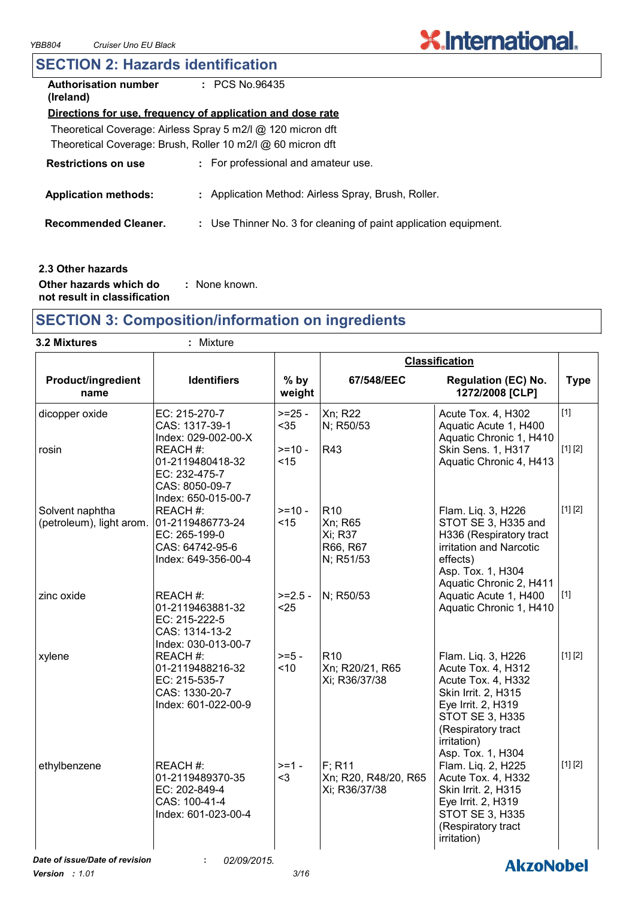# **X.International.**

### **SECTION 2: Hazards identification**

| <b>Authorisation number</b><br>(Ireland) | $\pm$ PCS No.96435                                               |
|------------------------------------------|------------------------------------------------------------------|
|                                          | Directions for use, frequency of application and dose rate       |
|                                          | Theoretical Coverage: Airless Spray 5 m2/l @ 120 micron dft      |
|                                          | Theoretical Coverage: Brush, Roller 10 m2/l @ 60 micron dft      |
| <b>Restrictions on use</b>               | : For professional and amateur use.                              |
| <b>Application methods:</b>              | : Application Method: Airless Spray, Brush, Roller.              |
| <b>Recommended Cleaner.</b>              | : Use Thinner No. 3 for cleaning of paint application equipment. |
|                                          |                                                                  |
|                                          |                                                                  |

#### **2.3 Other hazards**

**Other hazards which do : not result in classification** : None known.

### **SECTION 3: Composition/information on ingredients**

|  | 3.2 Mixtures |
|--|--------------|
|--|--------------|

**3.2 Mixtures :** Mixture

| Product/ingredient<br><b>Identifiers</b><br>$%$ by<br>67/548/EEC<br>weight<br>name<br>Xn; R22<br>EC: 215-270-7<br>$>=25 -$<br>dicopper oxide<br>CAS: 1317-39-1<br>$35$<br>N; R50/53<br>Index: 029-002-00-X<br>$>=10 -$<br><b>R43</b><br>REACH #:<br>rosin<br>< 15<br>01-2119480418-32<br>EC: 232-475-7<br>CAS: 8050-09-7<br>Index: 650-015-00-7<br>R <sub>10</sub><br>Solvent naphtha<br>REACH #:<br>$>=10-$<br>(petroleum), light arom. 01-2119486773-24<br>< 15<br>Xn; R65<br>Xi; R37<br>EC: 265-199-0<br>R66, R67<br>CAS: 64742-95-6<br>Index: 649-356-00-4<br>N; R51/53<br>zinc oxide<br>REACH #:<br>N; R50/53<br>$>=2.5 -$<br>01-2119463881-32<br>$25$ | <b>Regulation (EC) No.</b><br><b>Type</b>                                                                                                                                                                  |
|-------------------------------------------------------------------------------------------------------------------------------------------------------------------------------------------------------------------------------------------------------------------------------------------------------------------------------------------------------------------------------------------------------------------------------------------------------------------------------------------------------------------------------------------------------------------------------------------------------------------------------------------------------------|------------------------------------------------------------------------------------------------------------------------------------------------------------------------------------------------------------|
|                                                                                                                                                                                                                                                                                                                                                                                                                                                                                                                                                                                                                                                             | 1272/2008 [CLP]                                                                                                                                                                                            |
|                                                                                                                                                                                                                                                                                                                                                                                                                                                                                                                                                                                                                                                             | $[1]$<br>Acute Tox. 4, H302<br>Aquatic Acute 1, H400<br>Aquatic Chronic 1, H410                                                                                                                            |
|                                                                                                                                                                                                                                                                                                                                                                                                                                                                                                                                                                                                                                                             | [1] [2]<br>Skin Sens. 1, H317<br>Aquatic Chronic 4, H413                                                                                                                                                   |
|                                                                                                                                                                                                                                                                                                                                                                                                                                                                                                                                                                                                                                                             | [1] [2]<br>Flam. Liq. 3, H226<br>STOT SE 3, H335 and<br>H336 (Respiratory tract<br>irritation and Narcotic<br>effects)<br>Asp. Tox. 1, H304<br>Aquatic Chronic 2, H411                                     |
| EC: 215-222-5<br>CAS: 1314-13-2<br>Index: 030-013-00-7                                                                                                                                                                                                                                                                                                                                                                                                                                                                                                                                                                                                      | Aquatic Acute 1, H400<br>$[1]$<br>Aquatic Chronic 1, H410                                                                                                                                                  |
| $>= 5 -$<br>R <sub>10</sub><br>xylene<br>REACH #:<br>Xn; R20/21, R65<br>< 10<br>01-2119488216-32<br>EC: 215-535-7<br>Xi; R36/37/38<br>CAS: 1330-20-7<br>Index: 601-022-00-9                                                                                                                                                                                                                                                                                                                                                                                                                                                                                 | [1] [2]<br>Flam. Liq. 3, H226<br>Acute Tox. 4, H312<br>Acute Tox. 4, H332<br>Skin Irrit. 2, H315<br>Eye Irrit. 2, H319<br><b>STOT SE 3, H335</b><br>(Respiratory tract<br>irritation)<br>Asp. Tox. 1, H304 |
| $F$ ; R <sub>11</sub><br>REACH #:<br>$>=1 -$<br>ethylbenzene<br>Xn; R20, R48/20, R65<br>01-2119489370-35<br>$3$<br>EC: 202-849-4<br>Xi; R36/37/38<br>CAS: 100-41-4<br>Index: 601-023-00-4                                                                                                                                                                                                                                                                                                                                                                                                                                                                   | [1] [2]<br>Flam. Liq. 2, H225<br>Acute Tox. 4, H332<br>Skin Irrit. 2, H315<br>Eye Irrit. 2, H319<br><b>STOT SE 3, H335</b><br>(Respiratory tract<br>irritation)                                            |
| Date of issue/Date of revision<br>02/09/2015.<br>÷.                                                                                                                                                                                                                                                                                                                                                                                                                                                                                                                                                                                                         |                                                                                                                                                                                                            |

*Version : 1.01 3/16*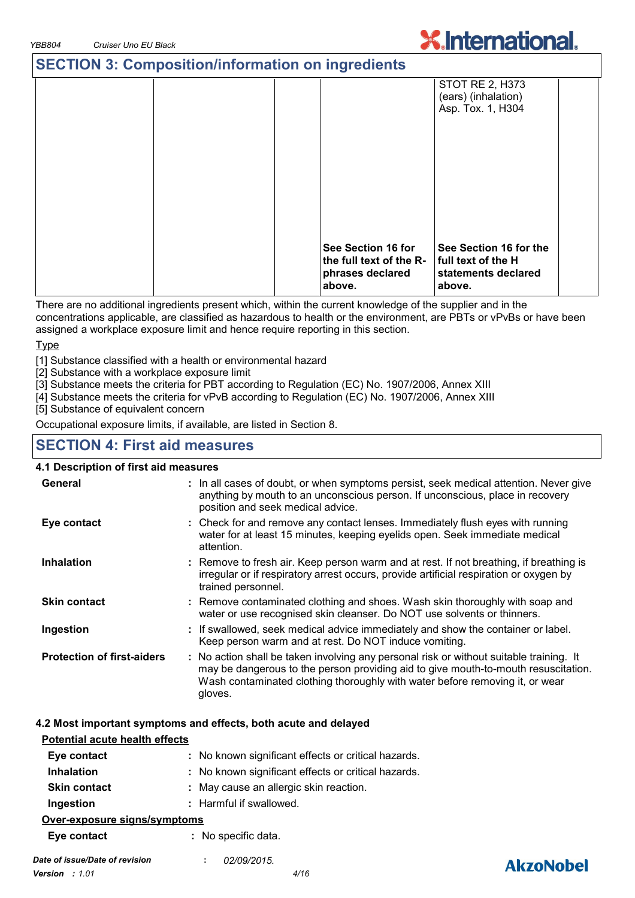### **SECTION 3: Composition/information on ingredients**



There are no additional ingredients present which, within the current knowledge of the supplier and in the concentrations applicable, are classified as hazardous to health or the environment, are PBTs or vPvBs or have been assigned a workplace exposure limit and hence require reporting in this section.

Type

[1] Substance classified with a health or environmental hazard

[2] Substance with a workplace exposure limit

[3] Substance meets the criteria for PBT according to Regulation (EC) No. 1907/2006, Annex XIII

[4] Substance meets the criteria for vPvB according to Regulation (EC) No. 1907/2006, Annex XIII

[5] Substance of equivalent concern

Occupational exposure limits, if available, are listed in Section 8.

#### **SECTION 4: First aid measures**

#### **4.1 Description of first aid measures**

| General                           | : In all cases of doubt, or when symptoms persist, seek medical attention. Never give<br>anything by mouth to an unconscious person. If unconscious, place in recovery<br>position and seek medical advice.                                                              |
|-----------------------------------|--------------------------------------------------------------------------------------------------------------------------------------------------------------------------------------------------------------------------------------------------------------------------|
| Eye contact                       | : Check for and remove any contact lenses. Immediately flush eyes with running<br>water for at least 15 minutes, keeping eyelids open. Seek immediate medical<br>attention.                                                                                              |
| <b>Inhalation</b>                 | : Remove to fresh air. Keep person warm and at rest. If not breathing, if breathing is<br>irregular or if respiratory arrest occurs, provide artificial respiration or oxygen by<br>trained personnel.                                                                   |
| <b>Skin contact</b>               | : Remove contaminated clothing and shoes. Wash skin thoroughly with soap and<br>water or use recognised skin cleanser. Do NOT use solvents or thinners.                                                                                                                  |
| Ingestion                         | : If swallowed, seek medical advice immediately and show the container or label.<br>Keep person warm and at rest. Do NOT induce vomiting.                                                                                                                                |
| <b>Protection of first-aiders</b> | : No action shall be taken involving any personal risk or without suitable training. It<br>may be dangerous to the person providing aid to give mouth-to-mouth resuscitation.<br>Wash contaminated clothing thoroughly with water before removing it, or wear<br>gloves. |

#### **4.2 Most important symptoms and effects, both acute and delayed**

| <b>Potential acute health effects</b> |                                                     |
|---------------------------------------|-----------------------------------------------------|
| Eye contact                           | : No known significant effects or critical hazards. |
| <b>Inhalation</b>                     | : No known significant effects or critical hazards. |
| <b>Skin contact</b>                   | : May cause an allergic skin reaction.              |
| Ingestion                             | : Harmful if swallowed.                             |
| Over-exposure signs/symptoms          |                                                     |
| Eye contact                           | : No specific data.                                 |
|                                       |                                                     |



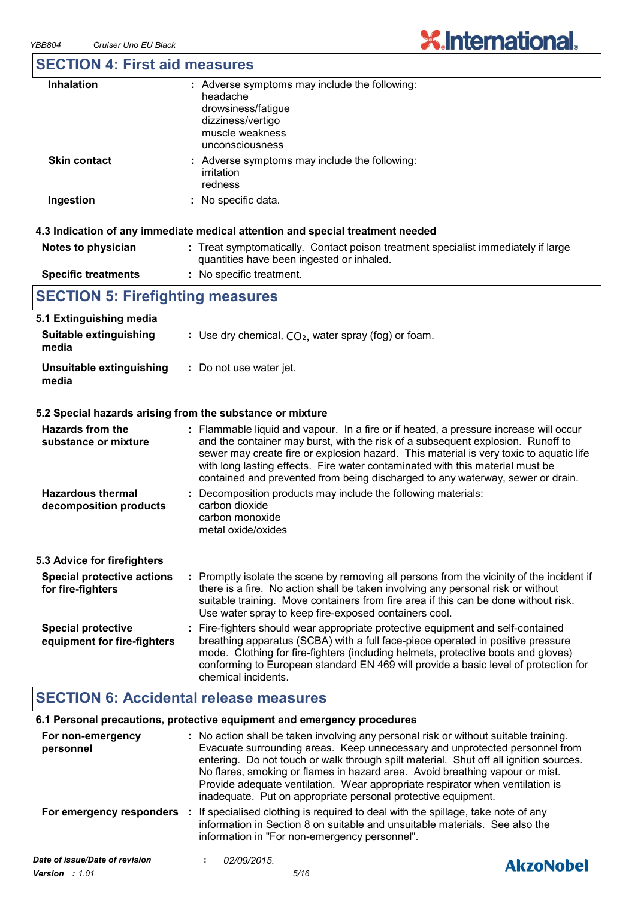# **X.International.**

### **SECTION 4: First aid measures**

| <b>Inhalation</b>   | : Adverse symptoms may include the following:<br>headache<br>drowsiness/fatigue<br>dizziness/vertigo<br>muscle weakness<br>unconsciousness |
|---------------------|--------------------------------------------------------------------------------------------------------------------------------------------|
| <b>Skin contact</b> | : Adverse symptoms may include the following:<br>irritation<br>redness                                                                     |
| Ingestion           | : No specific data.                                                                                                                        |

#### **Notes to physician Treat symptomatically. Contact poison treatment specialist immediately if large :** quantities have been ingested or inhaled. **Specific treatments :** No specific treatment.

# **SECTION 5: Firefighting measures**

| 5.1 Extinguishing media<br><b>Suitable extinguishing</b><br>media | : Use dry chemical, $CO2$ , water spray (fog) or foam.                                                                                                                                                                                                                                                                                                                                                                                |
|-------------------------------------------------------------------|---------------------------------------------------------------------------------------------------------------------------------------------------------------------------------------------------------------------------------------------------------------------------------------------------------------------------------------------------------------------------------------------------------------------------------------|
| Unsuitable extinguishing<br>media                                 | : Do not use water jet.                                                                                                                                                                                                                                                                                                                                                                                                               |
|                                                                   | 5.2 Special hazards arising from the substance or mixture                                                                                                                                                                                                                                                                                                                                                                             |
| Hazards from the<br>substance or mixture                          | : Flammable liquid and vapour. In a fire or if heated, a pressure increase will occur<br>and the container may burst, with the risk of a subsequent explosion. Runoff to<br>sewer may create fire or explosion hazard. This material is very toxic to aquatic life<br>with long lasting effects. Fire water contaminated with this material must be<br>contained and prevented from being discharged to any waterway, sewer or drain. |
| <b>Hazardous thermal</b><br>decomposition products                | Decomposition products may include the following materials:<br>carbon dioxide<br>carbon monoxide<br>metal oxide/oxides                                                                                                                                                                                                                                                                                                                |
| 5.3 Advice for firefighters                                       |                                                                                                                                                                                                                                                                                                                                                                                                                                       |
| <b>Special protective actions</b><br>for fire-fighters            | : Promptly isolate the scene by removing all persons from the vicinity of the incident if<br>there is a fire. No action shall be taken involving any personal risk or without<br>suitable training. Move containers from fire area if this can be done without risk.<br>Use water spray to keep fire-exposed containers cool.                                                                                                         |
| <b>Special protective</b><br>equipment for fire-fighters          | : Fire-fighters should wear appropriate protective equipment and self-contained<br>breathing apparatus (SCBA) with a full face-piece operated in positive pressure<br>mode. Clothing for fire-fighters (including helmets, protective boots and gloves)<br>conforming to European standard EN 469 will provide a basic level of protection for<br>chemical incidents.                                                                 |

### **SECTION 6: Accidental release measures**

#### **6.1 Personal precautions, protective equipment and emergency procedures**

| For non-emergency<br>personnel | : No action shall be taken involving any personal risk or without suitable training.<br>Evacuate surrounding areas. Keep unnecessary and unprotected personnel from<br>entering. Do not touch or walk through spilt material. Shut off all ignition sources.<br>No flares, smoking or flames in hazard area. Avoid breathing vapour or mist.<br>Provide adequate ventilation. Wear appropriate respirator when ventilation is<br>inadequate. Put on appropriate personal protective equipment. |                  |
|--------------------------------|------------------------------------------------------------------------------------------------------------------------------------------------------------------------------------------------------------------------------------------------------------------------------------------------------------------------------------------------------------------------------------------------------------------------------------------------------------------------------------------------|------------------|
| For emergency responders       | If specialised clothing is required to deal with the spillage, take note of any<br>$\mathbb{R}^n$<br>information in Section 8 on suitable and unsuitable materials. See also the<br>information in "For non-emergency personnel".                                                                                                                                                                                                                                                              |                  |
| Date of issue/Date of revision | 02/09/2015.<br>$\mathbf{r}$                                                                                                                                                                                                                                                                                                                                                                                                                                                                    | <b>AkzoNobel</b> |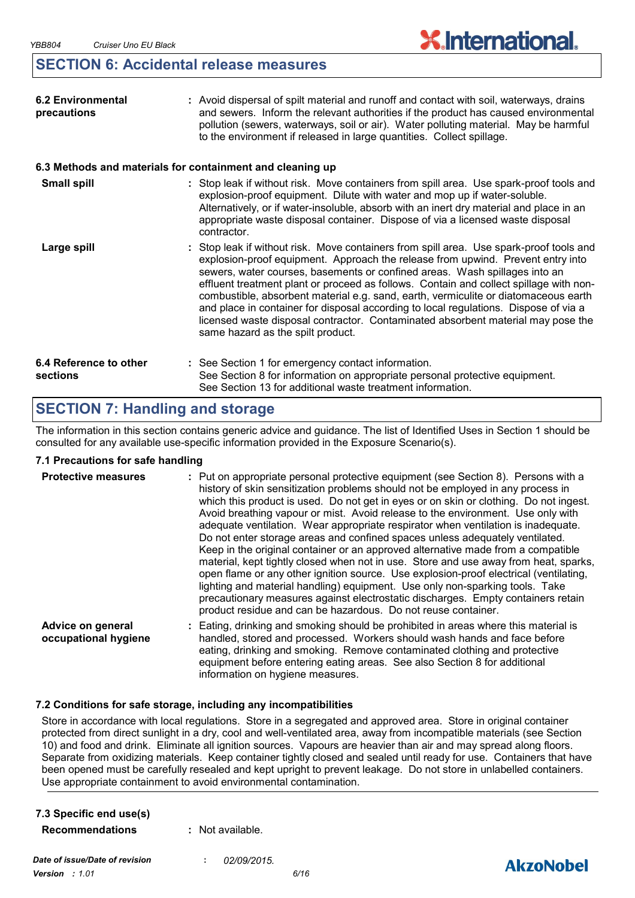### **SECTION 6: Accidental release measures**

| <b>6.2 Environmental</b><br>precautions                   | : Avoid dispersal of spilt material and runoff and contact with soil, waterways, drains<br>and sewers. Inform the relevant authorities if the product has caused environmental<br>pollution (sewers, waterways, soil or air). Water polluting material. May be harmful<br>to the environment if released in large quantities. Collect spillage.                                                                                                                                                                                                                                                                                                            |
|-----------------------------------------------------------|------------------------------------------------------------------------------------------------------------------------------------------------------------------------------------------------------------------------------------------------------------------------------------------------------------------------------------------------------------------------------------------------------------------------------------------------------------------------------------------------------------------------------------------------------------------------------------------------------------------------------------------------------------|
| 6.3 Methods and materials for containment and cleaning up |                                                                                                                                                                                                                                                                                                                                                                                                                                                                                                                                                                                                                                                            |
| <b>Small spill</b>                                        | : Stop leak if without risk. Move containers from spill area. Use spark-proof tools and<br>explosion-proof equipment. Dilute with water and mop up if water-soluble.<br>Alternatively, or if water-insoluble, absorb with an inert dry material and place in an<br>appropriate waste disposal container. Dispose of via a licensed waste disposal<br>contractor.                                                                                                                                                                                                                                                                                           |
| Large spill                                               | : Stop leak if without risk. Move containers from spill area. Use spark-proof tools and<br>explosion-proof equipment. Approach the release from upwind. Prevent entry into<br>sewers, water courses, basements or confined areas. Wash spillages into an<br>effluent treatment plant or proceed as follows. Contain and collect spillage with non-<br>combustible, absorbent material e.g. sand, earth, vermiculite or diatomaceous earth<br>and place in container for disposal according to local regulations. Dispose of via a<br>licensed waste disposal contractor. Contaminated absorbent material may pose the<br>same hazard as the spilt product. |
| 6.4 Reference to other<br>sections                        | : See Section 1 for emergency contact information.<br>See Section 8 for information on appropriate personal protective equipment.<br>See Section 13 for additional waste treatment information.                                                                                                                                                                                                                                                                                                                                                                                                                                                            |

### **SECTION 7: Handling and storage**

The information in this section contains generic advice and guidance. The list of Identified Uses in Section 1 should be consulted for any available use-specific information provided in the Exposure Scenario(s).

#### **7.1 Precautions for safe handling**

| <b>Protective measures</b>                | : Put on appropriate personal protective equipment (see Section 8). Persons with a<br>history of skin sensitization problems should not be employed in any process in<br>which this product is used. Do not get in eyes or on skin or clothing. Do not ingest.<br>Avoid breathing vapour or mist. Avoid release to the environment. Use only with<br>adequate ventilation. Wear appropriate respirator when ventilation is inadequate.<br>Do not enter storage areas and confined spaces unless adequately ventilated.<br>Keep in the original container or an approved alternative made from a compatible<br>material, kept tightly closed when not in use. Store and use away from heat, sparks,<br>open flame or any other ignition source. Use explosion-proof electrical (ventilating,<br>lighting and material handling) equipment. Use only non-sparking tools. Take<br>precautionary measures against electrostatic discharges. Empty containers retain<br>product residue and can be hazardous. Do not reuse container. |
|-------------------------------------------|----------------------------------------------------------------------------------------------------------------------------------------------------------------------------------------------------------------------------------------------------------------------------------------------------------------------------------------------------------------------------------------------------------------------------------------------------------------------------------------------------------------------------------------------------------------------------------------------------------------------------------------------------------------------------------------------------------------------------------------------------------------------------------------------------------------------------------------------------------------------------------------------------------------------------------------------------------------------------------------------------------------------------------|
| Advice on general<br>occupational hygiene | : Eating, drinking and smoking should be prohibited in areas where this material is<br>handled, stored and processed. Workers should wash hands and face before<br>eating, drinking and smoking. Remove contaminated clothing and protective<br>equipment before entering eating areas. See also Section 8 for additional<br>information on hygiene measures.                                                                                                                                                                                                                                                                                                                                                                                                                                                                                                                                                                                                                                                                    |

#### **7.2 Conditions for safe storage, including any incompatibilities**

Store in accordance with local regulations. Store in a segregated and approved area. Store in original container protected from direct sunlight in a dry, cool and well-ventilated area, away from incompatible materials (see Section 10) and food and drink. Eliminate all ignition sources. Vapours are heavier than air and may spread along floors. Separate from oxidizing materials. Keep container tightly closed and sealed until ready for use. Containers that have been opened must be carefully resealed and kept upright to prevent leakage. Do not store in unlabelled containers. Use appropriate containment to avoid environmental contamination.

| 7.3 Specific end use(s) |                    |
|-------------------------|--------------------|
| <b>Recommendations</b>  | $:$ Not available. |

*Date of issue/Date of revision* **:** *02/09/2015. Version : 1.01 6/16*

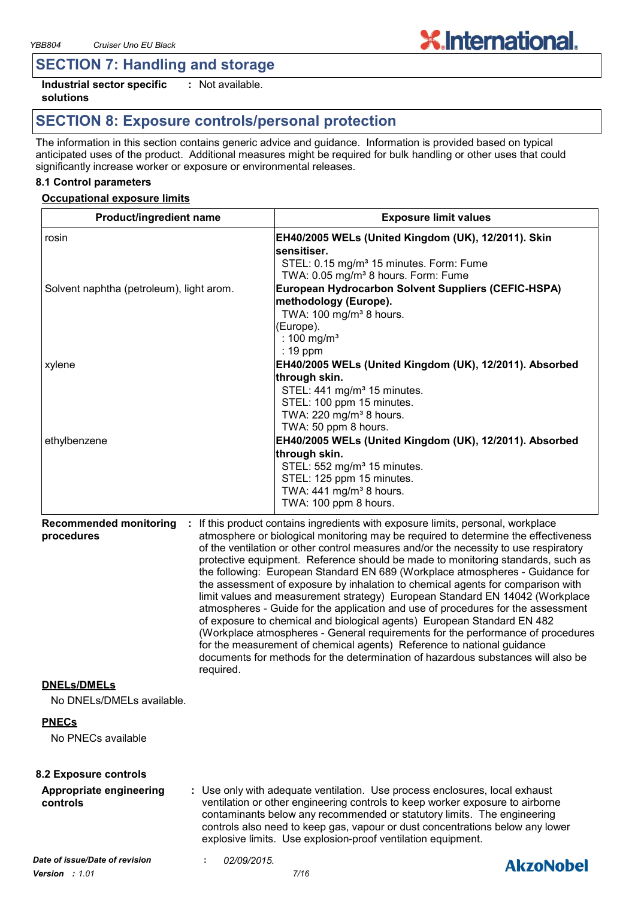### **SECTION 7: Handling and storage**

**Industrial sector specific : solutions** : Not available.

### **SECTION 8: Exposure controls/personal protection**

The information in this section contains generic advice and guidance. Information is provided based on typical anticipated uses of the product. Additional measures might be required for bulk handling or other uses that could significantly increase worker or exposure or environmental releases.

**X.International.** 

#### **8.1 Control parameters**

#### **Occupational exposure limits**

| <b>Product/ingredient name</b>             |             | <b>Exposure limit values</b>                                                                                                                                                                                                                                                                                                                                                                                                                                                                                                                                                                                                                                                                                                                        |
|--------------------------------------------|-------------|-----------------------------------------------------------------------------------------------------------------------------------------------------------------------------------------------------------------------------------------------------------------------------------------------------------------------------------------------------------------------------------------------------------------------------------------------------------------------------------------------------------------------------------------------------------------------------------------------------------------------------------------------------------------------------------------------------------------------------------------------------|
| rosin                                      |             | EH40/2005 WELs (United Kingdom (UK), 12/2011). Skin                                                                                                                                                                                                                                                                                                                                                                                                                                                                                                                                                                                                                                                                                                 |
|                                            |             | sensitiser.                                                                                                                                                                                                                                                                                                                                                                                                                                                                                                                                                                                                                                                                                                                                         |
|                                            |             | STEL: 0.15 mg/m <sup>3</sup> 15 minutes. Form: Fume                                                                                                                                                                                                                                                                                                                                                                                                                                                                                                                                                                                                                                                                                                 |
|                                            |             | TWA: 0.05 mg/m <sup>3</sup> 8 hours. Form: Fume                                                                                                                                                                                                                                                                                                                                                                                                                                                                                                                                                                                                                                                                                                     |
| Solvent naphtha (petroleum), light arom.   |             | European Hydrocarbon Solvent Suppliers (CEFIC-HSPA)                                                                                                                                                                                                                                                                                                                                                                                                                                                                                                                                                                                                                                                                                                 |
|                                            |             | methodology (Europe).                                                                                                                                                                                                                                                                                                                                                                                                                                                                                                                                                                                                                                                                                                                               |
|                                            |             | TWA: 100 mg/m <sup>3</sup> 8 hours.                                                                                                                                                                                                                                                                                                                                                                                                                                                                                                                                                                                                                                                                                                                 |
|                                            |             | (Europe).                                                                                                                                                                                                                                                                                                                                                                                                                                                                                                                                                                                                                                                                                                                                           |
|                                            |             | : 100 mg/m <sup>3</sup>                                                                                                                                                                                                                                                                                                                                                                                                                                                                                                                                                                                                                                                                                                                             |
|                                            |             | $: 19$ ppm                                                                                                                                                                                                                                                                                                                                                                                                                                                                                                                                                                                                                                                                                                                                          |
| xylene                                     |             | EH40/2005 WELs (United Kingdom (UK), 12/2011). Absorbed                                                                                                                                                                                                                                                                                                                                                                                                                                                                                                                                                                                                                                                                                             |
|                                            |             | through skin.                                                                                                                                                                                                                                                                                                                                                                                                                                                                                                                                                                                                                                                                                                                                       |
|                                            |             | STEL: 441 mg/m <sup>3</sup> 15 minutes.                                                                                                                                                                                                                                                                                                                                                                                                                                                                                                                                                                                                                                                                                                             |
|                                            |             | STEL: 100 ppm 15 minutes.                                                                                                                                                                                                                                                                                                                                                                                                                                                                                                                                                                                                                                                                                                                           |
|                                            |             | TWA: 220 mg/m <sup>3</sup> 8 hours.                                                                                                                                                                                                                                                                                                                                                                                                                                                                                                                                                                                                                                                                                                                 |
|                                            |             | TWA: 50 ppm 8 hours.                                                                                                                                                                                                                                                                                                                                                                                                                                                                                                                                                                                                                                                                                                                                |
| ethylbenzene                               |             | EH40/2005 WELs (United Kingdom (UK), 12/2011). Absorbed                                                                                                                                                                                                                                                                                                                                                                                                                                                                                                                                                                                                                                                                                             |
|                                            |             | through skin.                                                                                                                                                                                                                                                                                                                                                                                                                                                                                                                                                                                                                                                                                                                                       |
|                                            |             | STEL: 552 mg/m <sup>3</sup> 15 minutes.                                                                                                                                                                                                                                                                                                                                                                                                                                                                                                                                                                                                                                                                                                             |
|                                            |             | STEL: 125 ppm 15 minutes.                                                                                                                                                                                                                                                                                                                                                                                                                                                                                                                                                                                                                                                                                                                           |
|                                            |             | TWA: $441$ mg/m <sup>3</sup> 8 hours.                                                                                                                                                                                                                                                                                                                                                                                                                                                                                                                                                                                                                                                                                                               |
|                                            |             | TWA: 100 ppm 8 hours.                                                                                                                                                                                                                                                                                                                                                                                                                                                                                                                                                                                                                                                                                                                               |
|                                            | required.   | protective equipment. Reference should be made to monitoring standards, such as<br>the following: European Standard EN 689 (Workplace atmospheres - Guidance for<br>the assessment of exposure by inhalation to chemical agents for comparison with<br>limit values and measurement strategy) European Standard EN 14042 (Workplace<br>atmospheres - Guide for the application and use of procedures for the assessment<br>of exposure to chemical and biological agents) European Standard EN 482<br>(Workplace atmospheres - General requirements for the performance of procedures<br>for the measurement of chemical agents) Reference to national guidance<br>documents for methods for the determination of hazardous substances will also be |
| <b>DNELs/DMELs</b>                         |             |                                                                                                                                                                                                                                                                                                                                                                                                                                                                                                                                                                                                                                                                                                                                                     |
| No DNELs/DMELs available.                  |             |                                                                                                                                                                                                                                                                                                                                                                                                                                                                                                                                                                                                                                                                                                                                                     |
| <b>PNECs</b>                               |             |                                                                                                                                                                                                                                                                                                                                                                                                                                                                                                                                                                                                                                                                                                                                                     |
| No PNECs available                         |             |                                                                                                                                                                                                                                                                                                                                                                                                                                                                                                                                                                                                                                                                                                                                                     |
| 8.2 Exposure controls                      |             |                                                                                                                                                                                                                                                                                                                                                                                                                                                                                                                                                                                                                                                                                                                                                     |
| <b>Appropriate engineering</b><br>controls |             | : Use only with adequate ventilation. Use process enclosures, local exhaust<br>ventilation or other engineering controls to keep worker exposure to airborne<br>contaminants below any recommended or statutory limits. The engineering<br>controls also need to keep gas, vapour or dust concentrations below any lower<br>explosive limits. Use explosion-proof ventilation equipment.                                                                                                                                                                                                                                                                                                                                                            |
| Date of issue/Date of revision             | 02/09/2015. |                                                                                                                                                                                                                                                                                                                                                                                                                                                                                                                                                                                                                                                                                                                                                     |
|                                            |             | <b>AkzoNobel</b>                                                                                                                                                                                                                                                                                                                                                                                                                                                                                                                                                                                                                                                                                                                                    |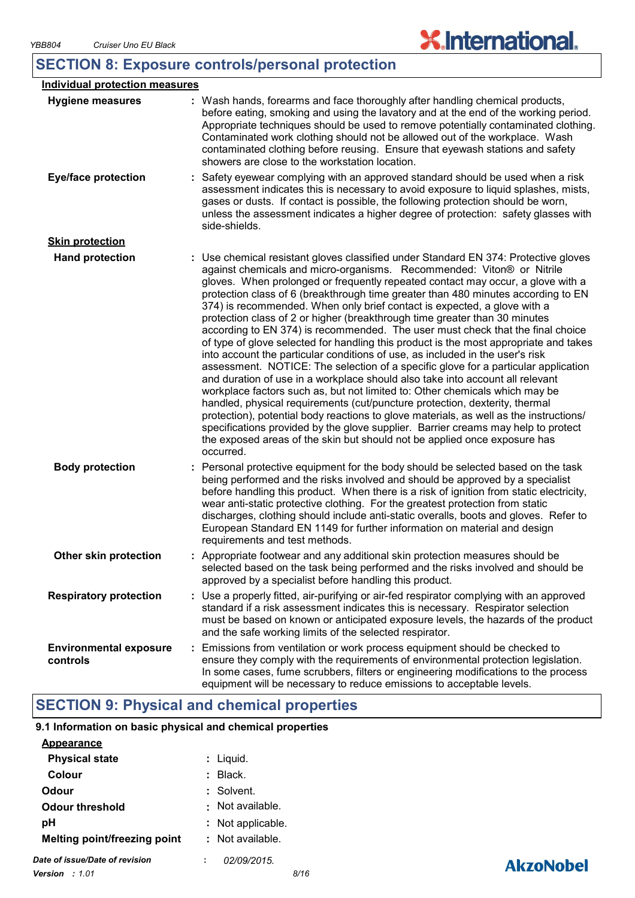### **SECTION 8: Exposure controls/personal protection**

| <b>Individual protection measures</b>     |                                                                                                                                                                                                                                                                                                                                                                                                                                                                                                                                                                                                                                                                                                                                                                                                                                                                                                                                                                                                                                                                                                                                                                                                                                                                                                                                                                          |
|-------------------------------------------|--------------------------------------------------------------------------------------------------------------------------------------------------------------------------------------------------------------------------------------------------------------------------------------------------------------------------------------------------------------------------------------------------------------------------------------------------------------------------------------------------------------------------------------------------------------------------------------------------------------------------------------------------------------------------------------------------------------------------------------------------------------------------------------------------------------------------------------------------------------------------------------------------------------------------------------------------------------------------------------------------------------------------------------------------------------------------------------------------------------------------------------------------------------------------------------------------------------------------------------------------------------------------------------------------------------------------------------------------------------------------|
| <b>Hygiene measures</b>                   | : Wash hands, forearms and face thoroughly after handling chemical products,<br>before eating, smoking and using the lavatory and at the end of the working period.<br>Appropriate techniques should be used to remove potentially contaminated clothing.<br>Contaminated work clothing should not be allowed out of the workplace. Wash<br>contaminated clothing before reusing. Ensure that eyewash stations and safety<br>showers are close to the workstation location.                                                                                                                                                                                                                                                                                                                                                                                                                                                                                                                                                                                                                                                                                                                                                                                                                                                                                              |
| <b>Eye/face protection</b>                | Safety eyewear complying with an approved standard should be used when a risk<br>assessment indicates this is necessary to avoid exposure to liquid splashes, mists,<br>gases or dusts. If contact is possible, the following protection should be worn,<br>unless the assessment indicates a higher degree of protection: safety glasses with<br>side-shields.                                                                                                                                                                                                                                                                                                                                                                                                                                                                                                                                                                                                                                                                                                                                                                                                                                                                                                                                                                                                          |
| <b>Skin protection</b>                    |                                                                                                                                                                                                                                                                                                                                                                                                                                                                                                                                                                                                                                                                                                                                                                                                                                                                                                                                                                                                                                                                                                                                                                                                                                                                                                                                                                          |
| <b>Hand protection</b>                    | : Use chemical resistant gloves classified under Standard EN 374: Protective gloves<br>against chemicals and micro-organisms. Recommended: Viton® or Nitrile<br>gloves. When prolonged or frequently repeated contact may occur, a glove with a<br>protection class of 6 (breakthrough time greater than 480 minutes according to EN<br>374) is recommended. When only brief contact is expected, a glove with a<br>protection class of 2 or higher (breakthrough time greater than 30 minutes<br>according to EN 374) is recommended. The user must check that the final choice<br>of type of glove selected for handling this product is the most appropriate and takes<br>into account the particular conditions of use, as included in the user's risk<br>assessment. NOTICE: The selection of a specific glove for a particular application<br>and duration of use in a workplace should also take into account all relevant<br>workplace factors such as, but not limited to: Other chemicals which may be<br>handled, physical requirements (cut/puncture protection, dexterity, thermal<br>protection), potential body reactions to glove materials, as well as the instructions/<br>specifications provided by the glove supplier. Barrier creams may help to protect<br>the exposed areas of the skin but should not be applied once exposure has<br>occurred. |
| <b>Body protection</b>                    | : Personal protective equipment for the body should be selected based on the task<br>being performed and the risks involved and should be approved by a specialist<br>before handling this product. When there is a risk of ignition from static electricity,<br>wear anti-static protective clothing. For the greatest protection from static<br>discharges, clothing should include anti-static overalls, boots and gloves. Refer to<br>European Standard EN 1149 for further information on material and design<br>requirements and test methods.                                                                                                                                                                                                                                                                                                                                                                                                                                                                                                                                                                                                                                                                                                                                                                                                                     |
| Other skin protection                     | Appropriate footwear and any additional skin protection measures should be<br>selected based on the task being performed and the risks involved and should be<br>approved by a specialist before handling this product.                                                                                                                                                                                                                                                                                                                                                                                                                                                                                                                                                                                                                                                                                                                                                                                                                                                                                                                                                                                                                                                                                                                                                  |
| <b>Respiratory protection</b>             | : Use a properly fitted, air-purifying or air-fed respirator complying with an approved<br>standard if a risk assessment indicates this is necessary. Respirator selection<br>must be based on known or anticipated exposure levels, the hazards of the product<br>and the safe working limits of the selected respirator.                                                                                                                                                                                                                                                                                                                                                                                                                                                                                                                                                                                                                                                                                                                                                                                                                                                                                                                                                                                                                                               |
| <b>Environmental exposure</b><br>controls | Emissions from ventilation or work process equipment should be checked to<br>ensure they comply with the requirements of environmental protection legislation.<br>In some cases, fume scrubbers, filters or engineering modifications to the process<br>equipment will be necessary to reduce emissions to acceptable levels.                                                                                                                                                                                                                                                                                                                                                                                                                                                                                                                                                                                                                                                                                                                                                                                                                                                                                                                                                                                                                                            |

### **SECTION 9: Physical and chemical properties**

#### **9.1 Information on basic physical and chemical properties**

| <b>Appearance</b>              |                   |      |
|--------------------------------|-------------------|------|
| <b>Physical state</b>          | : Liquid.         |      |
| Colour                         | : Black.          |      |
| Odour                          | : Solvent.        |      |
| Odour threshold                | . Not available.  |      |
| pН                             | : Not applicable. |      |
| Melting point/freezing point   | : Not available.  |      |
| Date of issue/Date of revision | 02/09/2015        |      |
| <b>Version</b> : 1.01          |                   | 8/16 |



**X.International.**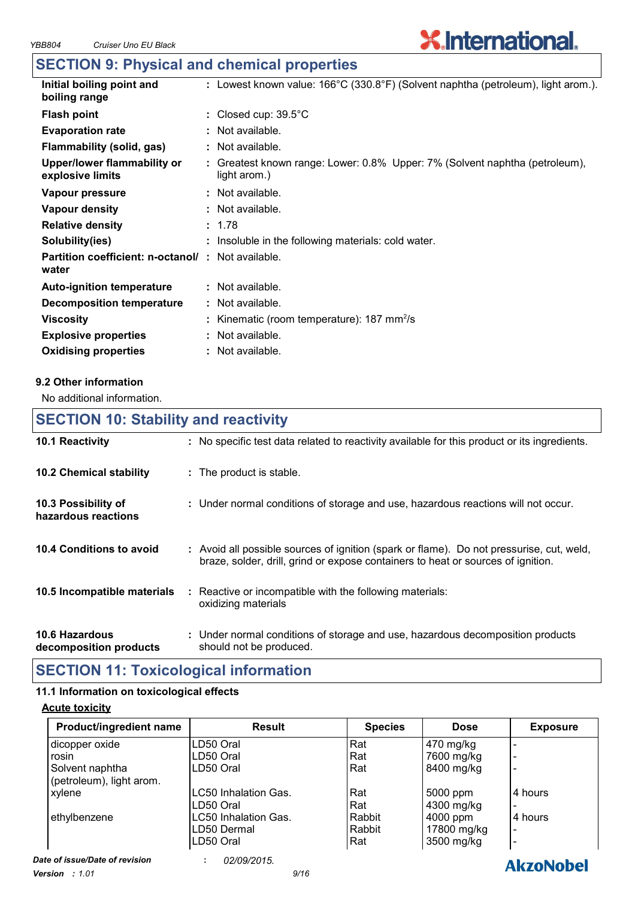## **SECTION 9: Physical and chemical properties**

| : Lowest known value: $166^{\circ}C(330.8^{\circ}F)(Solvent naphtha (petroleum), light arom.).$ |
|-------------------------------------------------------------------------------------------------|
| Closed cup: $39.5^{\circ}$ C                                                                    |
| : Not available.                                                                                |
| : Not available.                                                                                |
| : Greatest known range: Lower: 0.8% Upper: 7% (Solvent naphtha (petroleum),<br>light arom.)     |
| $:$ Not available.                                                                              |
| $:$ Not available.                                                                              |
| : 1.78                                                                                          |
| : Insoluble in the following materials: cold water.                                             |
| <b>Partition coefficient: n-octanol/ : Not available.</b>                                       |
| $:$ Not available.                                                                              |
| : Not available.                                                                                |
| : Kinematic (room temperature): $187 \text{ mm}^2/\text{s}$                                     |
| $:$ Not available.                                                                              |
| : Not available.                                                                                |
|                                                                                                 |

**X.International.** 

#### **9.2 Other information**

No additional information.

### **10.6 Hazardous 10.4 Conditions to avoid** : Avoid all possible sources of ignition (spark or flame). Do not pressurise, cut, weld, braze, solder, drill, grind or expose containers to heat or sources of ignition. Under normal conditions of storage and use, hazardous decomposition products **: 10.2 Chemical stability** Reactive or incompatible with the following materials: oxidizing materials **: 10.5 Incompatible materials : 10.3 Possibility of hazardous reactions :** Under normal conditions of storage and use, hazardous reactions will not occur. **SECTION 10: Stability and reactivity 10.1 Reactivity :** No specific test data related to reactivity available for this product or its ingredients.

**decomposition products** should not be produced.

### **SECTION 11: Toxicological information**

#### **11.1 Information on toxicological effects**

#### **Acute toxicity**

| Product/ingredient name  | <b>Result</b>        | <b>Species</b> | <b>Dose</b> | <b>Exposure</b> |
|--------------------------|----------------------|----------------|-------------|-----------------|
| dicopper oxide           | LD50 Oral            | Rat            | 470 mg/kg   |                 |
| rosin                    | ILD50 Oral           | Rat            | 7600 mg/kg  |                 |
| Solvent naphtha          | ILD50 Oral           | Rat            | 8400 mg/kg  |                 |
| (petroleum), light arom. |                      |                |             |                 |
| xylene                   | LC50 Inhalation Gas. | Rat            | 5000 ppm    | 14 hours        |
|                          | ILD50 Oral           | Rat            | 4300 mg/kg  |                 |
| ethylbenzene             | LC50 Inhalation Gas. | Rabbit         | 4000 ppm    | 4 hours         |
|                          | LD50 Dermal          | Rabbit         | 17800 mg/kg |                 |
|                          | ILD50 Oral           | Rat            | 3500 mg/kg  |                 |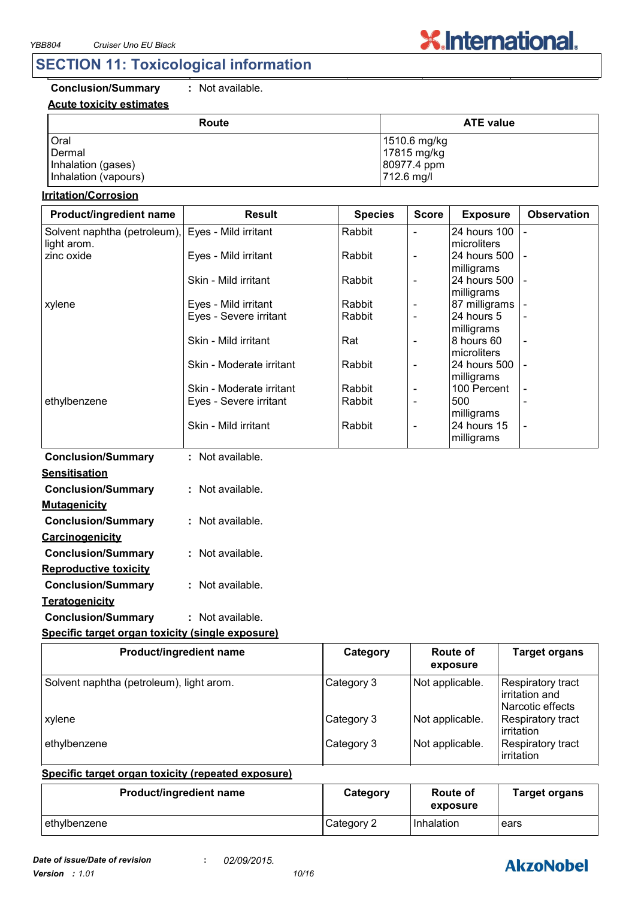### **SECTION 11: Toxicological information**

### **Conclusion/Summary :** Not available.

#### **Acute toxicity estimates**

|  | noi avallaplo. |  |
|--|----------------|--|
|  |                |  |
|  |                |  |

| Route                | <b>ATE value</b> |
|----------------------|------------------|
| Oral                 | 1510.6 mg/kg     |
| Dermal               | 17815 mg/kg      |
| Inhalation (gases)   | 80977.4 ppm      |
| Inhalation (vapours) | 712.6 mg/l       |

**X.International.** 

#### **Irritation/Corrosion**

| Product/ingredient name      | <b>Result</b>            | <b>Species</b> | <b>Score</b>             | <b>Exposure</b>             | <b>Observation</b> |
|------------------------------|--------------------------|----------------|--------------------------|-----------------------------|--------------------|
| Solvent naphtha (petroleum), | Eyes - Mild irritant     | Rabbit         | $\blacksquare$           | 24 hours 100                |                    |
| light arom.                  |                          |                |                          | microliters                 |                    |
| zinc oxide                   | Eyes - Mild irritant     | Rabbit         | $\overline{\phantom{a}}$ | 24 hours 500                |                    |
|                              |                          |                |                          | milligrams                  |                    |
|                              | Skin - Mild irritant     | Rabbit         | $\blacksquare$           | 24 hours 500                |                    |
|                              | Eyes - Mild irritant     | Rabbit         | $\overline{\phantom{a}}$ | milligrams<br>87 milligrams |                    |
| xylene                       | Eyes - Severe irritant   | Rabbit         | $\blacksquare$           | 24 hours 5                  |                    |
|                              |                          |                |                          | milligrams                  |                    |
|                              | Skin - Mild irritant     | Rat            | $\blacksquare$           | 8 hours 60                  | $\blacksquare$     |
|                              |                          |                |                          | microliters                 |                    |
|                              | Skin - Moderate irritant | Rabbit         | $\blacksquare$           | 24 hours 500                |                    |
|                              |                          |                |                          | milligrams                  |                    |
|                              | Skin - Moderate irritant | Rabbit         | $\overline{\phantom{a}}$ | 100 Percent                 |                    |
| ethylbenzene                 | Eyes - Severe irritant   | Rabbit         | $\blacksquare$           | 500                         |                    |
|                              |                          |                |                          | milligrams                  |                    |
|                              | Skin - Mild irritant     | Rabbit         | $\overline{\phantom{a}}$ | 24 hours 15                 |                    |
|                              |                          |                |                          | milligrams                  |                    |
| <b>Conclusion/Summary</b>    | : Not available.         |                |                          |                             |                    |
| <b>Sensitisation</b>         |                          |                |                          |                             |                    |
| <b>Conclusion/Summary</b>    | : Not available.         |                |                          |                             |                    |
| <b>Mutagenicity</b>          |                          |                |                          |                             |                    |
| <b>Conclusion/Summary</b>    | : Not available.         |                |                          |                             |                    |
| Carcinogenicity              |                          |                |                          |                             |                    |
|                              |                          |                |                          |                             |                    |
| <b>Conclusion/Summary</b>    | : Not available.         |                |                          |                             |                    |
| <b>Reproductive toxicity</b> |                          |                |                          |                             |                    |
| <b>Conclusion/Summary</b>    | : Not available.         |                |                          |                             |                    |
| <b>Teratogenicity</b>        |                          |                |                          |                             |                    |
|                              |                          |                |                          |                             |                    |
| <b>Conclusion/Summary</b>    | : Not available.         |                |                          |                             |                    |

#### **Specific target organ toxicity (single exposure)**

| Product/ingredient name                  | Category   | <b>Route of</b><br>exposure | <b>Target organs</b>                                           |
|------------------------------------------|------------|-----------------------------|----------------------------------------------------------------|
| Solvent naphtha (petroleum), light arom. | Category 3 | Not applicable.             | <b>Respiratory tract</b><br>irritation and<br>Narcotic effects |
| xylene                                   | Category 3 | Not applicable.             | Respiratory tract<br>irritation                                |
| ethylbenzene                             | Category 3 | Not applicable.             | <b>Respiratory tract</b><br>irritation                         |

#### **Specific target organ toxicity (repeated exposure)**

| <b>Product/ingredient name</b> | Category   | Route of<br>exposure | <b>Target organs</b> |
|--------------------------------|------------|----------------------|----------------------|
| ethylbenzene                   | Category 2 | <b>Inhalation</b>    | ears                 |

### **AkzoNobel**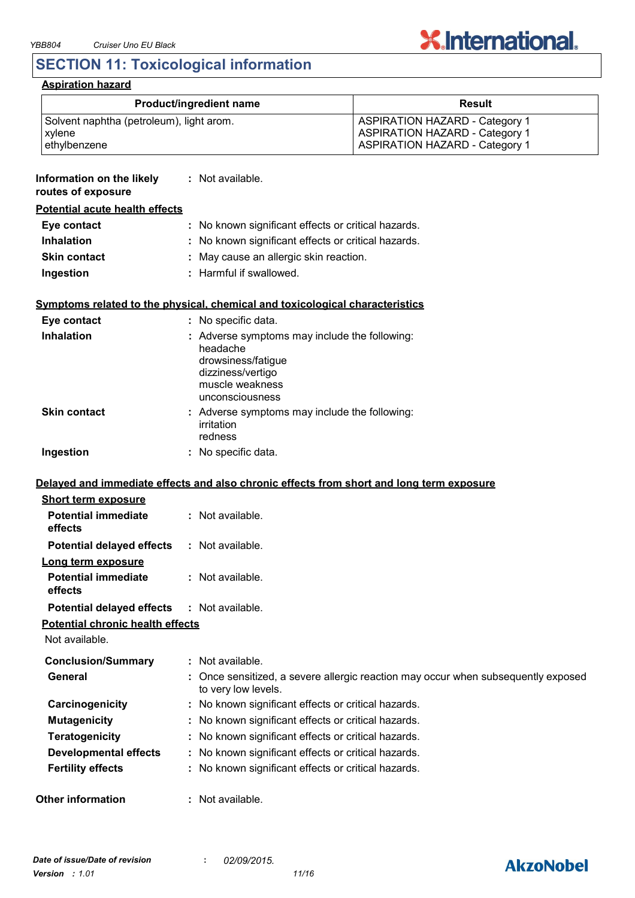

### **SECTION 11: Toxicological information**

### **Aspiration hazard**

| Product/ingredient name                                            |                                                                                                                                            | <b>Result</b>                                                                                                           |  |
|--------------------------------------------------------------------|--------------------------------------------------------------------------------------------------------------------------------------------|-------------------------------------------------------------------------------------------------------------------------|--|
| Solvent naphtha (petroleum), light arom.<br>xylene<br>ethylbenzene |                                                                                                                                            | <b>ASPIRATION HAZARD - Category 1</b><br><b>ASPIRATION HAZARD - Category 1</b><br><b>ASPIRATION HAZARD - Category 1</b> |  |
| Information on the likely<br>routes of exposure                    | : Not available.                                                                                                                           |                                                                                                                         |  |
| <b>Potential acute health effects</b>                              |                                                                                                                                            |                                                                                                                         |  |
| Eye contact                                                        | : No known significant effects or critical hazards.                                                                                        |                                                                                                                         |  |
| <b>Inhalation</b>                                                  | : No known significant effects or critical hazards.                                                                                        |                                                                                                                         |  |
| <b>Skin contact</b>                                                | : May cause an allergic skin reaction.                                                                                                     |                                                                                                                         |  |
| Ingestion                                                          | : Harmful if swallowed.                                                                                                                    |                                                                                                                         |  |
|                                                                    | Symptoms related to the physical, chemical and toxicological characteristics                                                               |                                                                                                                         |  |
| Eye contact                                                        | : No specific data.                                                                                                                        |                                                                                                                         |  |
| <b>Inhalation</b>                                                  | : Adverse symptoms may include the following:<br>headache<br>drowsiness/fatigue<br>dizziness/vertigo<br>muscle weakness<br>unconsciousness |                                                                                                                         |  |
| <b>Skin contact</b>                                                | : Adverse symptoms may include the following:<br>irritation<br>redness                                                                     |                                                                                                                         |  |
| Ingestion                                                          | : No specific data.                                                                                                                        |                                                                                                                         |  |
|                                                                    | Delayed and immediate effects and also chronic effects from short and long term exposure                                                   |                                                                                                                         |  |
| <b>Short term exposure</b>                                         |                                                                                                                                            |                                                                                                                         |  |
| <b>Potential immediate</b><br>effects                              | : Not available.                                                                                                                           |                                                                                                                         |  |
| <b>Potential delayed effects</b>                                   | : Not available.                                                                                                                           |                                                                                                                         |  |
| Long term exposure<br><b>Potential immediate</b><br>effects        | : Not available.                                                                                                                           |                                                                                                                         |  |
| <b>Potential delayed effects</b>                                   | : Not available.                                                                                                                           |                                                                                                                         |  |
| <b>Potential chronic health effects</b>                            |                                                                                                                                            |                                                                                                                         |  |
| Not available.                                                     |                                                                                                                                            |                                                                                                                         |  |
| <b>Conclusion/Summary</b>                                          | : Not available.                                                                                                                           |                                                                                                                         |  |
| General                                                            | to very low levels.                                                                                                                        | : Once sensitized, a severe allergic reaction may occur when subsequently exposed                                       |  |
| Carcinogenicity                                                    | : No known significant effects or critical hazards.                                                                                        |                                                                                                                         |  |
| <b>Mutagenicity</b>                                                | : No known significant effects or critical hazards.                                                                                        |                                                                                                                         |  |
| <b>Teratogenicity</b>                                              | : No known significant effects or critical hazards.                                                                                        |                                                                                                                         |  |
| <b>Developmental effects</b>                                       | : No known significant effects or critical hazards.                                                                                        |                                                                                                                         |  |
| <b>Fertility effects</b>                                           | : No known significant effects or critical hazards.                                                                                        |                                                                                                                         |  |
| <b>Other information</b>                                           | : Not available.                                                                                                                           |                                                                                                                         |  |

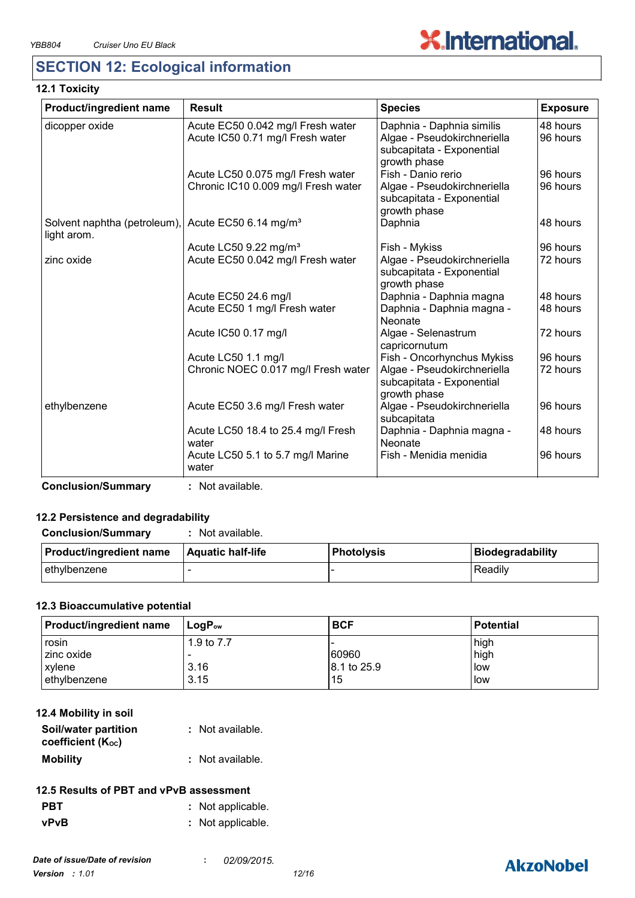

### **SECTION 12: Ecological information**

#### **12.1 Toxicity**

| Product/ingredient name                                        | <b>Result</b>                               | <b>Species</b>                                                           | <b>Exposure</b> |
|----------------------------------------------------------------|---------------------------------------------|--------------------------------------------------------------------------|-----------------|
| dicopper oxide                                                 | Acute EC50 0.042 mg/l Fresh water           | Daphnia - Daphnia similis                                                | 48 hours        |
|                                                                | Acute IC50 0.71 mg/l Fresh water            | Algae - Pseudokirchneriella<br>subcapitata - Exponential<br>growth phase | 96 hours        |
|                                                                | Acute LC50 0.075 mg/l Fresh water           | Fish - Danio rerio                                                       | 96 hours        |
|                                                                | Chronic IC10 0.009 mg/l Fresh water         | Algae - Pseudokirchneriella<br>subcapitata - Exponential<br>growth phase | 96 hours        |
| Solvent naphtha (petroleum), Acute EC50 6.14 mg/m <sup>3</sup> |                                             | Daphnia                                                                  | 48 hours        |
| light arom.                                                    |                                             |                                                                          |                 |
|                                                                | Acute LC50 9.22 mg/m <sup>3</sup>           | Fish - Mykiss                                                            | 96 hours        |
| zinc oxide                                                     | Acute EC50 0.042 mg/l Fresh water           | Algae - Pseudokirchneriella<br>subcapitata - Exponential<br>growth phase | 72 hours        |
|                                                                | Acute EC50 24.6 mg/l                        | Daphnia - Daphnia magna                                                  | 48 hours        |
|                                                                | Acute EC50 1 mg/l Fresh water               | Daphnia - Daphnia magna -<br>Neonate                                     | 48 hours        |
|                                                                | Acute IC50 0.17 mg/l                        | Algae - Selenastrum<br>capricornutum                                     | 72 hours        |
|                                                                | Acute LC50 1.1 mg/l                         | Fish - Oncorhynchus Mykiss                                               | 96 hours        |
|                                                                | Chronic NOEC 0.017 mg/l Fresh water         | Algae - Pseudokirchneriella<br>subcapitata - Exponential<br>growth phase | 72 hours        |
| ethylbenzene                                                   | Acute EC50 3.6 mg/l Fresh water             | Algae - Pseudokirchneriella<br>subcapitata                               | 96 hours        |
|                                                                | Acute LC50 18.4 to 25.4 mg/l Fresh<br>water | Daphnia - Daphnia magna -<br>Neonate                                     | 48 hours        |
|                                                                | Acute LC50 5.1 to 5.7 mg/l Marine<br>water  | Fish - Menidia menidia                                                   | 96 hours        |

**Conclusion/Summary :** Not available.

#### **12.2 Persistence and degradability**

#### **Conclusion/Summary :** Not available.

| <b>Product/ingredient name</b> | <b>Aquatic half-life</b> | Photolysis | Biodegradability |
|--------------------------------|--------------------------|------------|------------------|
| ∣ethγlbenzene                  |                          |            | Readily          |

#### **12.3 Bioaccumulative potential**

| Product/ingredient name | $\mathsf{LogP}_\mathsf{ow}$ | <b>BCF</b>  | <b>Potential</b> |
|-------------------------|-----------------------------|-------------|------------------|
| rosin                   | 1.9 to 7.7                  |             | high             |
| zinc oxide              |                             | 60960       | high             |
| xylene                  | 3.16                        | 8.1 to 25.9 | low              |
| ethylbenzene            | 3.15                        | 15          | low              |

| 12.4 Mobility in soil                     |                  |
|-------------------------------------------|------------------|
| Soil/water partition<br>coefficient (Koc) | : Not available. |
| <b>Mobility</b>                           | : Not available. |

#### **12.5 Results of PBT and vPvB assessment**

- **PBT :** Not applicable.
- **vPvB :** Not applicable.

### **AkzoNobel**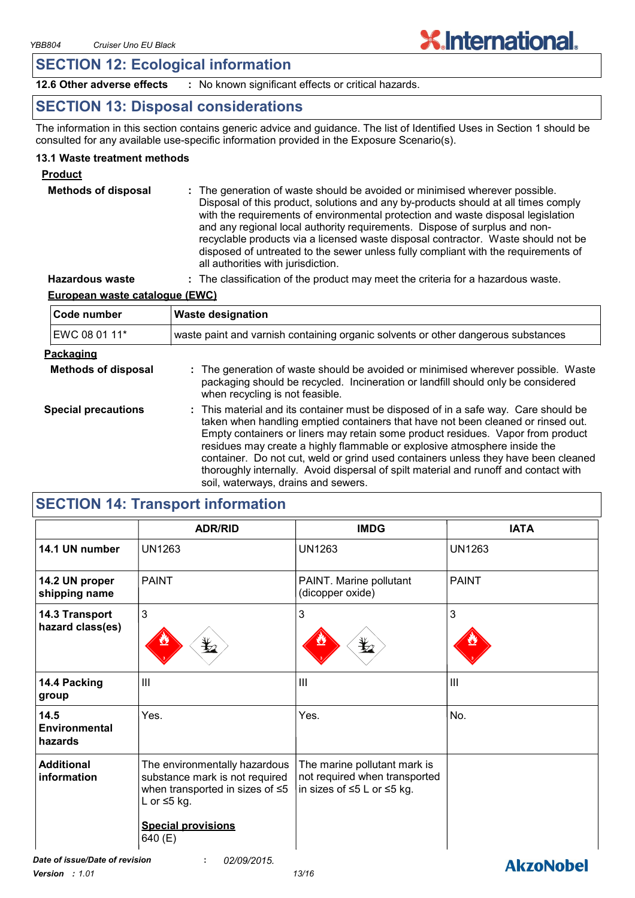### **SECTION 12: Ecological information**

**12.6 Other adverse effects :** No known significant effects or critical hazards.

### **SECTION 13: Disposal considerations**

The information in this section contains generic advice and guidance. The list of Identified Uses in Section 1 should be consulted for any available use-specific information provided in the Exposure Scenario(s).

**X.International.** 

**AkzoNobel** 

#### **13.1 Waste treatment methods**

#### **Product**

| <b>Methods of disposal</b> | : The generation of waste should be avoided or minimised wherever possible.<br>Disposal of this product, solutions and any by-products should at all times comply<br>with the requirements of environmental protection and waste disposal legislation<br>and any regional local authority requirements. Dispose of surplus and non-<br>recyclable products via a licensed waste disposal contractor. Waste should not be<br>disposed of untreated to the sewer unless fully compliant with the requirements of<br>all authorities with jurisdiction. |
|----------------------------|------------------------------------------------------------------------------------------------------------------------------------------------------------------------------------------------------------------------------------------------------------------------------------------------------------------------------------------------------------------------------------------------------------------------------------------------------------------------------------------------------------------------------------------------------|
|----------------------------|------------------------------------------------------------------------------------------------------------------------------------------------------------------------------------------------------------------------------------------------------------------------------------------------------------------------------------------------------------------------------------------------------------------------------------------------------------------------------------------------------------------------------------------------------|

**Hazardous waste :** The classification of the product may meet the criteria for a hazardous waste.

#### **European waste catalogue (EWC)**

| Code number                                                                                                                                                                                                                                                                                                                                                                                                                                                                                                                                                                                | <b>Waste designation</b>                                                                                                                                                                                 |
|--------------------------------------------------------------------------------------------------------------------------------------------------------------------------------------------------------------------------------------------------------------------------------------------------------------------------------------------------------------------------------------------------------------------------------------------------------------------------------------------------------------------------------------------------------------------------------------------|----------------------------------------------------------------------------------------------------------------------------------------------------------------------------------------------------------|
| EWC 08 01 11*                                                                                                                                                                                                                                                                                                                                                                                                                                                                                                                                                                              | waste paint and varnish containing organic solvents or other dangerous substances                                                                                                                        |
| Packaging                                                                                                                                                                                                                                                                                                                                                                                                                                                                                                                                                                                  |                                                                                                                                                                                                          |
| <b>Methods of disposal</b>                                                                                                                                                                                                                                                                                                                                                                                                                                                                                                                                                                 | : The generation of waste should be avoided or minimised wherever possible. Waste<br>packaging should be recycled. Incineration or landfill should only be considered<br>when recycling is not feasible. |
| <b>Special precautions</b><br>: This material and its container must be disposed of in a safe way. Care should be<br>taken when handling emptied containers that have not been cleaned or rinsed out.<br>Empty containers or liners may retain some product residues. Vapor from product<br>residues may create a highly flammable or explosive atmosphere inside the<br>container. Do not cut, weld or grind used containers unless they have been cleaned<br>thoroughly internally. Avoid dispersal of spilt material and runoff and contact with<br>soil, waterways, drains and sewers. |                                                                                                                                                                                                          |

### **SECTION 14: Transport information**

|                                    | <b>ADR/RID</b>                                                                                                                                             | <b>IMDG</b>                                                                                 | <b>IATA</b>    |
|------------------------------------|------------------------------------------------------------------------------------------------------------------------------------------------------------|---------------------------------------------------------------------------------------------|----------------|
| 14.1 UN number                     | <b>UN1263</b>                                                                                                                                              | <b>UN1263</b>                                                                               | <b>UN1263</b>  |
| 14.2 UN proper<br>shipping name    | <b>PAINT</b>                                                                                                                                               | PAINT. Marine pollutant<br>(dicopper oxide)                                                 | <b>PAINT</b>   |
| 14.3 Transport<br>hazard class(es) | $\mathbf{3}$                                                                                                                                               | 3<br>⋭                                                                                      | 3              |
| 14.4 Packing<br>group              | Ш                                                                                                                                                          | $\mathbf{III}$                                                                              | $\mathbf{III}$ |
| 14.5<br>Environmental<br>hazards   | Yes.                                                                                                                                                       | Yes.                                                                                        | No.            |
| <b>Additional</b><br>information   | The environmentally hazardous<br>substance mark is not required<br>when transported in sizes of $\leq 5$<br>L or $\leq$ 5 kg.<br><b>Special provisions</b> | The marine pollutant mark is<br>not required when transported<br>in sizes of ≤5 L or ≤5 kg. |                |
|                                    | 640 (E)                                                                                                                                                    |                                                                                             |                |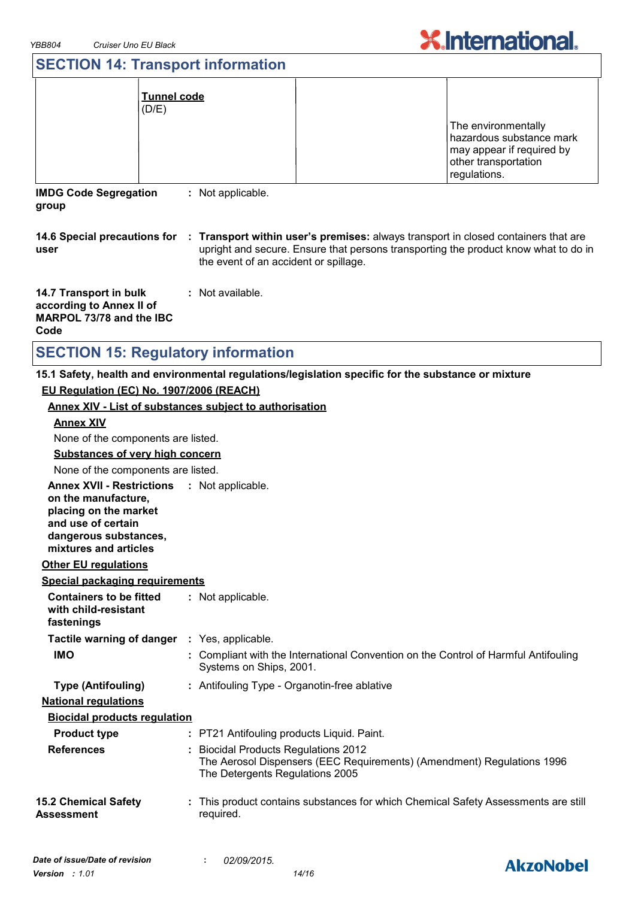

### **SECTION 14: Transport information**

| (D/E)                                                                                         | <u>Tunnel code</u>                    |                                                                                                                                                                                                        |
|-----------------------------------------------------------------------------------------------|---------------------------------------|--------------------------------------------------------------------------------------------------------------------------------------------------------------------------------------------------------|
|                                                                                               |                                       | The environmentally<br>hazardous substance mark<br>may appear if required by<br>other transportation<br>regulations.                                                                                   |
| <b>IMDG Code Segregation</b><br>group                                                         | : Not applicable.                     |                                                                                                                                                                                                        |
| user                                                                                          | the event of an accident or spillage. | 14.6 Special precautions for : Transport within user's premises: always transport in closed containers that are<br>upright and secure. Ensure that persons transporting the product know what to do in |
| <b>14.7 Transport in bulk</b><br>according to Annex II of<br>MARPOL 73/78 and the IBC<br>Code | : Not available.                      |                                                                                                                                                                                                        |

### **SECTION 15: Regulatory information**

#### **15.1 Safety, health and environmental regulations/legislation specific for the substance or mixture EU Regulation (EC) No. 1907/2006 (REACH)**

#### **Annex XIV - List of substances subject to authorisation**

| <b>Annex XIV</b>                                                                                                                                                    |                                                                                                                                                   |
|---------------------------------------------------------------------------------------------------------------------------------------------------------------------|---------------------------------------------------------------------------------------------------------------------------------------------------|
| None of the components are listed.                                                                                                                                  |                                                                                                                                                   |
| <b>Substances of very high concern</b>                                                                                                                              |                                                                                                                                                   |
| None of the components are listed.                                                                                                                                  |                                                                                                                                                   |
| Annex XVII - Restrictions : Not applicable.<br>on the manufacture,<br>placing on the market<br>and use of certain<br>dangerous substances,<br>mixtures and articles |                                                                                                                                                   |
| <b>Other EU regulations</b>                                                                                                                                         |                                                                                                                                                   |
| <b>Special packaging requirements</b>                                                                                                                               |                                                                                                                                                   |
| <b>Containers to be fitted</b><br>with child-resistant<br>fastenings                                                                                                | : Not applicable.                                                                                                                                 |
| Tactile warning of danger : Yes, applicable.                                                                                                                        |                                                                                                                                                   |
| <b>IMO</b>                                                                                                                                                          | : Compliant with the International Convention on the Control of Harmful Antifouling<br>Systems on Ships, 2001.                                    |
| <b>Type (Antifouling)</b>                                                                                                                                           | : Antifouling Type - Organotin-free ablative                                                                                                      |
| <b>National regulations</b>                                                                                                                                         |                                                                                                                                                   |
| <b>Biocidal products regulation</b>                                                                                                                                 |                                                                                                                                                   |
| <b>Product type</b>                                                                                                                                                 | : PT21 Antifouling products Liquid. Paint.                                                                                                        |
| <b>References</b>                                                                                                                                                   | : Biocidal Products Regulations 2012<br>The Aerosol Dispensers (EEC Requirements) (Amendment) Regulations 1996<br>The Detergents Regulations 2005 |
| <b>15.2 Chemical Safety</b><br>Assessment                                                                                                                           | : This product contains substances for which Chemical Safety Assessments are still<br>required.                                                   |

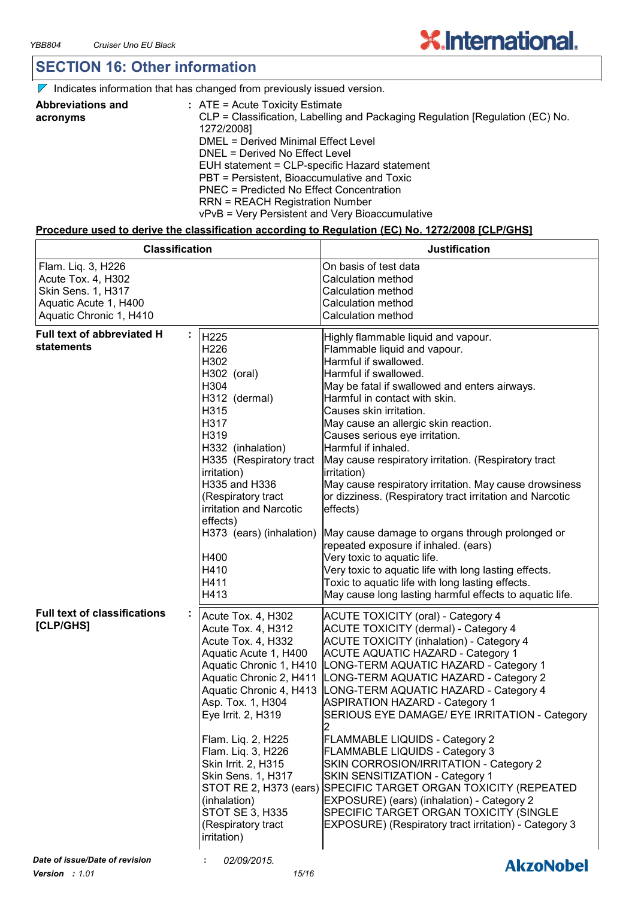### **SECTION 16: Other information**

| Indicates information that has changed from previously issued version. |  |
|------------------------------------------------------------------------|--|
|                                                                        |  |

| <b>Abbreviations and</b> | $:$ ATE = Acute Toxicity Estimate                                             |
|--------------------------|-------------------------------------------------------------------------------|
| acronyms                 | CLP = Classification, Labelling and Packaging Regulation [Regulation (EC) No. |
|                          | 1272/2008]                                                                    |
|                          | DMEL = Derived Minimal Effect Level                                           |
|                          | DNEL = Derived No Effect Level                                                |
|                          | EUH statement = CLP-specific Hazard statement                                 |
|                          | PBT = Persistent, Bioaccumulative and Toxic                                   |
|                          | PNEC = Predicted No Effect Concentration                                      |
|                          | <b>RRN = REACH Registration Number</b>                                        |
|                          | vPvB = Very Persistent and Very Bioaccumulative                               |

#### **Procedure used to derive the classification according to Regulation (EC) No. 1272/2008 [CLP/GHS]**

| <b>Classification</b>                                                                                              |                                                                                                                                                                                                                                                                                                                                                           | <b>Justification</b>                                                                                                                                                                                                                                                                                                                                                                                                                                                                                                                                                                                                                                                                                                                                                                                                                           |
|--------------------------------------------------------------------------------------------------------------------|-----------------------------------------------------------------------------------------------------------------------------------------------------------------------------------------------------------------------------------------------------------------------------------------------------------------------------------------------------------|------------------------------------------------------------------------------------------------------------------------------------------------------------------------------------------------------------------------------------------------------------------------------------------------------------------------------------------------------------------------------------------------------------------------------------------------------------------------------------------------------------------------------------------------------------------------------------------------------------------------------------------------------------------------------------------------------------------------------------------------------------------------------------------------------------------------------------------------|
| Flam. Liq. 3, H226<br>Acute Tox. 4, H302<br>Skin Sens. 1, H317<br>Aquatic Acute 1, H400<br>Aquatic Chronic 1, H410 |                                                                                                                                                                                                                                                                                                                                                           | On basis of test data<br>Calculation method<br>Calculation method<br>Calculation method<br>Calculation method                                                                                                                                                                                                                                                                                                                                                                                                                                                                                                                                                                                                                                                                                                                                  |
| <b>Full text of abbreviated H</b><br>statements                                                                    | H225<br>H226<br>H302<br>H302 (oral)<br>H304<br>H312 (dermal)<br>H315<br>H317<br>H319<br>H332 (inhalation)<br>H335 (Respiratory tract<br>irritation)<br>H335 and H336<br>(Respiratory tract<br>irritation and Narcotic<br>effects)<br>H373 (ears) (inhalation)<br>H400<br>H410<br>H411<br>H413                                                             | Highly flammable liquid and vapour.<br>Flammable liquid and vapour.<br>Harmful if swallowed.<br>Harmful if swallowed.<br>May be fatal if swallowed and enters airways.<br>Harmful in contact with skin.<br>Causes skin irritation.<br>May cause an allergic skin reaction.<br>Causes serious eye irritation.<br>Harmful if inhaled.<br>May cause respiratory irritation. (Respiratory tract<br>irritation)<br>May cause respiratory irritation. May cause drowsiness<br>or dizziness. (Respiratory tract irritation and Narcotic<br>effects)<br>May cause damage to organs through prolonged or<br>repeated exposure if inhaled. (ears)<br>Very toxic to aquatic life.<br>Very toxic to aquatic life with long lasting effects.<br>Toxic to aquatic life with long lasting effects.<br>May cause long lasting harmful effects to aquatic life. |
| <b>Full text of classifications</b><br>[CLP/GHS]                                                                   | Acute Tox. 4, H302<br>Acute Tox. 4, H312<br>Acute Tox. 4, H332<br>Aquatic Acute 1, H400<br>Aquatic Chronic 1, H410<br>Aquatic Chronic 2, H411<br>Asp. Tox. 1, H304<br>Eye Irrit. 2, H319<br>Flam. Liq. 2, H225<br>Flam. Liq. 3, H226<br>Skin Irrit. 2, H315<br>Skin Sens. 1, H317<br>(inhalation)<br>STOT SE 3, H335<br>(Respiratory tract<br>irritation) | <b>ACUTE TOXICITY (oral) - Category 4</b><br><b>ACUTE TOXICITY (dermal) - Category 4</b><br><b>ACUTE TOXICITY (inhalation) - Category 4</b><br><b>ACUTE AQUATIC HAZARD - Category 1</b><br>LONG-TERM AQUATIC HAZARD - Category 1<br>LONG-TERM AQUATIC HAZARD - Category 2<br>Aquatic Chronic 4, H413   LONG-TERM AQUATIC HAZARD - Category 4<br><b>ASPIRATION HAZARD - Category 1</b><br>SERIOUS EYE DAMAGE/ EYE IRRITATION - Category<br><b>FLAMMABLE LIQUIDS - Category 2</b><br>FLAMMABLE LIQUIDS - Category 3<br>SKIN CORROSION/IRRITATION - Category 2<br>SKIN SENSITIZATION - Category 1<br>STOT RE 2, H373 (ears) SPECIFIC TARGET ORGAN TOXICITY (REPEATED<br>EXPOSURE) (ears) (inhalation) - Category 2<br>SPECIFIC TARGET ORGAN TOXICITY (SINGLE<br>EXPOSURE) (Respiratory tract irritation) - Category 3                             |
| Date of issue/Date of revision                                                                                     | 02/09/2015.                                                                                                                                                                                                                                                                                                                                               | <b>AkzoNobel</b>                                                                                                                                                                                                                                                                                                                                                                                                                                                                                                                                                                                                                                                                                                                                                                                                                               |